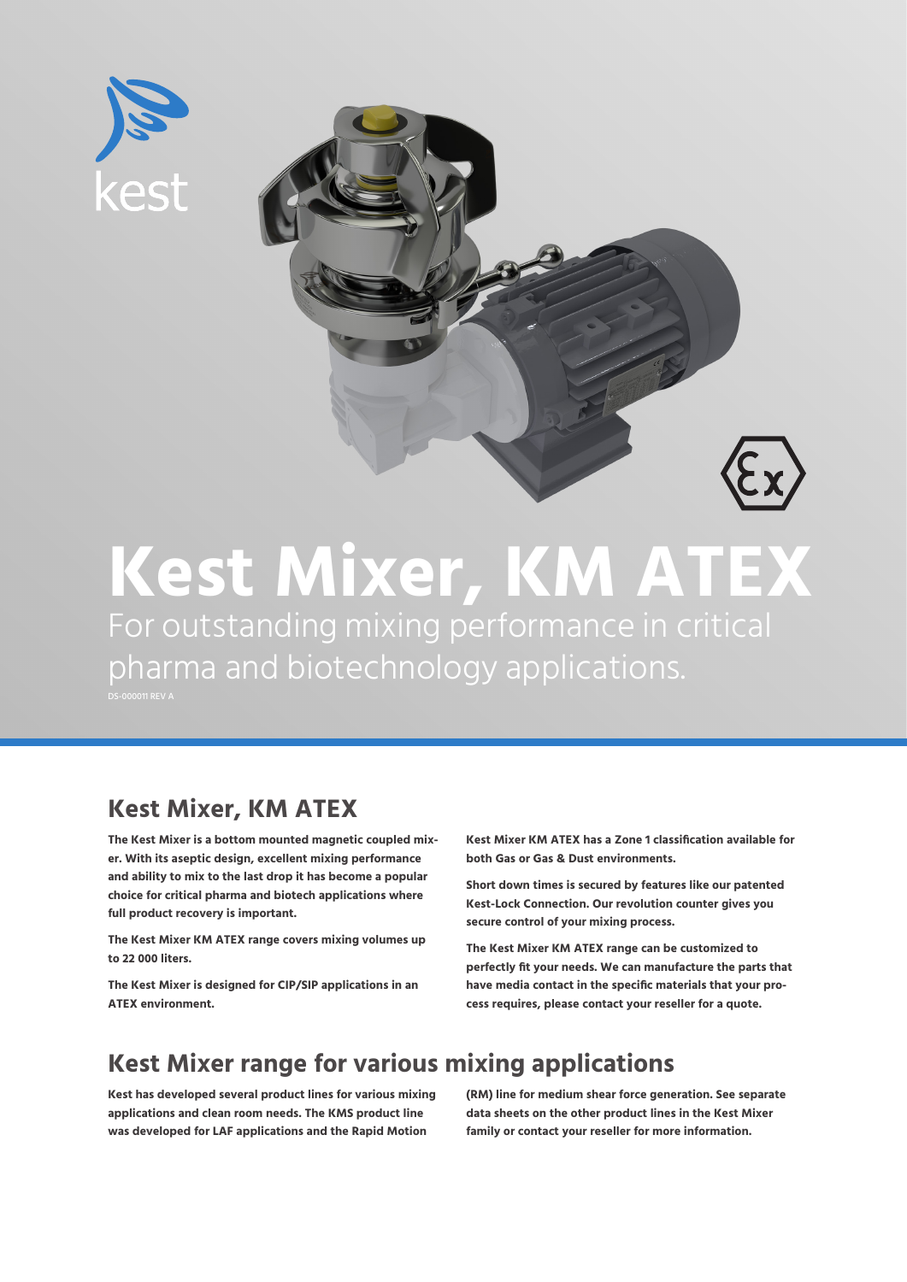



### **Kest Mixer, KM ATEX** For outstanding mixing performance in critical pharma and biotechnology applications. DS-000011 REV A

### **Kest Mixer, KM ATEX**

**The Kest Mixer is a bottom mounted magnetic coupled mixer. With its aseptic design, excellent mixing performance and ability to mix to the last drop it has become a popular choice for critical pharma and biotech applications where full product recovery is important.** 

**The Kest Mixer KM ATEX range covers mixing volumes up to 22 000 liters.** 

**The Kest Mixer is designed for CIP/SIP applications in an ATEX environment.** 

**Kest Mixer KM ATEX has a Zone 1 classification available for both Gas or Gas & Dust environments.**

**Short down times is secured by features like our patented Kest-Lock Connection. Our revolution counter gives you secure control of your mixing process.** 

**The Kest Mixer KM ATEX range can be customized to perfectly fit your needs. We can manufacture the parts that have media contact in the specific materials that your process requires, please contact your reseller for a quote.**

### **Kest Mixer range for various mixing applications**

**Kest has developed several product lines for various mixing applications and clean room needs. The KMS product line was developed for LAF applications and the Rapid Motion** 

**(RM) line for medium shear force generation. See separate data sheets on the other product lines in the Kest Mixer family or contact your reseller for more information.**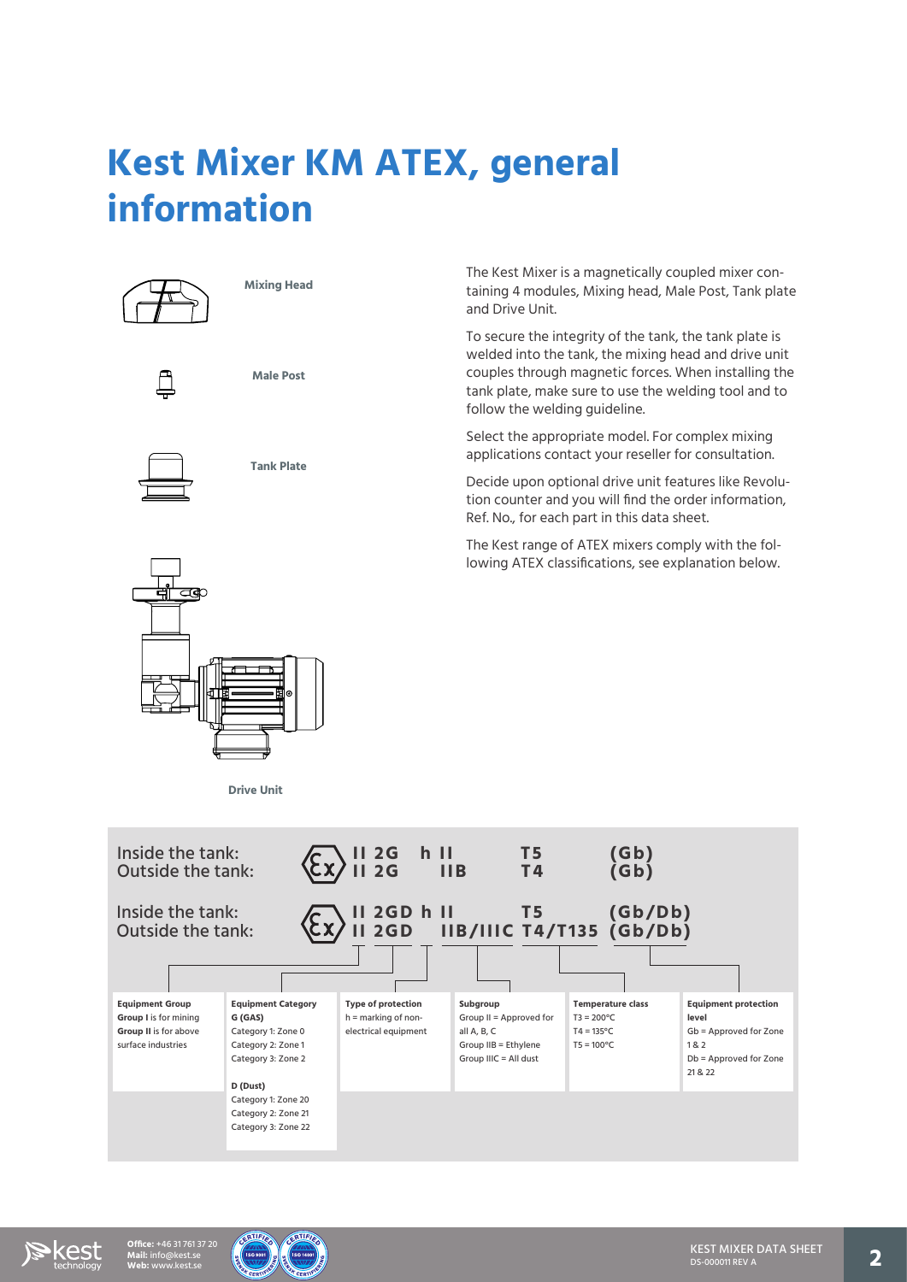# **Kest Mixer KM ATEX, general information**



**Tank Plate**

The Kest Mixer is a magnetically coupled mixer containing 4 modules, Mixing head, Male Post, Tank plate and Drive Unit.

To secure the integrity of the tank, the tank plate is welded into the tank, the mixing head and drive unit couples through magnetic forces. When installing the tank plate, make sure to use the welding tool and to follow the welding guideline.

Select the appropriate model. For complex mixing applications contact your reseller for consultation.

Decide upon optional drive unit features like Revolution counter and you will find the order information, Ref. No., for each part in this data sheet.

The Kest range of ATEX mixers comply with the following ATEX classifications, see explanation below.



**Drive Unit**





**Mail:** info@kest.se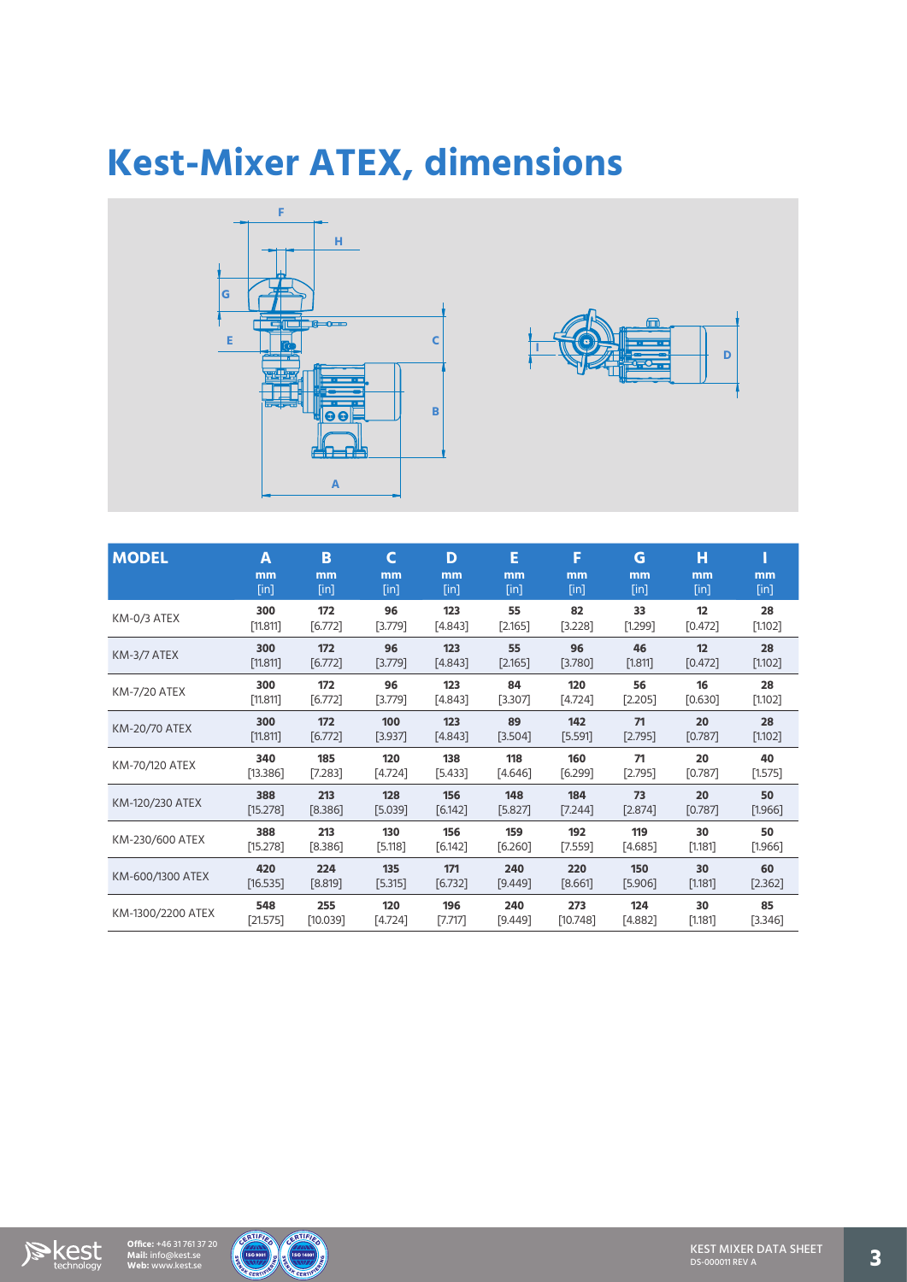### **Kest-Mixer ATEX, dimensions**





| <b>MODEL</b>         | A<br>mm<br>$[$ in] | B<br>mm<br>$[$ in] | C<br>mm<br>$[$ in] | D<br>mm<br>$[$ in] | Е<br>mm<br>$[$ in] | F<br>mm<br>$[$ in] | G<br>mm<br>$[$ in] | н<br>mm<br>$[$ in] | mm<br>$[$ in] |
|----------------------|--------------------|--------------------|--------------------|--------------------|--------------------|--------------------|--------------------|--------------------|---------------|
| KM-0/3 ATEX          | 300                | 172                | 96                 | 123                | 55                 | 82                 | 33                 | 12                 | 28            |
|                      | [11.811]           | [6.772]            | [3.779]            | [4.843]            | [2.165]            | $[3.228]$          | [1.299]            | [0.472]            | $[1.102]$     |
| KM-3/7 ATEX          | 300                | 172                | 96                 | 123                | 55                 | 96                 | 46                 | 12                 | 28            |
|                      | $[11.811]$         | $[6.772]$          | [3.779]            | $[4.843]$          | $[2.165]$          | [3.780]            | $[1.811]$          | $[0.472]$          | $[1.102]$     |
| <b>KM-7/20 ATEX</b>  | 300                | 172                | 96                 | 123                | 84                 | 120                | 56                 | 16                 | 28            |
|                      | [11.811]           | [6.772]            | [3.779]            | [4.843]            | [3.307]            | [4.724]            | $[2.205]$          | [0.630]            | $[1.102]$     |
| <b>KM-20/70 ATEX</b> | 300                | 172                | 100                | 123                | 89                 | 142                | 71                 | 20                 | 28            |
|                      | [11.811]           | [6.772]            | [3.937]            | [4.843]            | [3.504]            | [5.591]            | [2.795]            | [0.787]            | $[1.102]$     |
| KM-70/120 ATEX       | 340                | 185                | 120                | 138                | 118                | 160                | 71                 | 20                 | 40            |
|                      | [13.386]           | [7.283]            | [4.724]            | [5.433]            | [4.646]            | [6.299]            | [2.795]            | [0.787]            | $[1.575]$     |
| KM-120/230 ATEX      | 388                | 213                | 128                | 156                | 148                | 184                | 73                 | 20                 | 50            |
|                      | [15.278]           | [8.386]            | [5.039]            | [6.142]            | [5.827]            | [7.244]            | [2.874]            | [0.787]            | $[1.966]$     |
| KM-230/600 ATEX      | 388                | 213                | 130                | 156                | 159                | 192                | 119                | 30                 | 50            |
|                      | [15.278]           | [8.386]            | $[5.118]$          | $[6.142]$          | [6.260]            | $[7.559]$          | [4.685]            | $[1.181]$          | $[1.966]$     |
| KM-600/1300 ATEX     | 420                | 224                | 135                | 171                | 240                | 220                | 150                | 30                 | 60            |
|                      | [16.535]           | [8.819]            | [5.315]            | [6.732]            | [9.449]            | [8.661]            | [5.906]            | [1.181]            | $[2.362]$     |
| KM-1300/2200 ATEX    | 548                | 255                | 120                | 196                | 240                | 273                | 124                | 30                 | 85            |
|                      | $[21.575]$         | [10.039]           | [4.724]            | [7.717]            | [9.449]            | [10.748]           | [4.882]            | [1.181]            | [3.346]       |



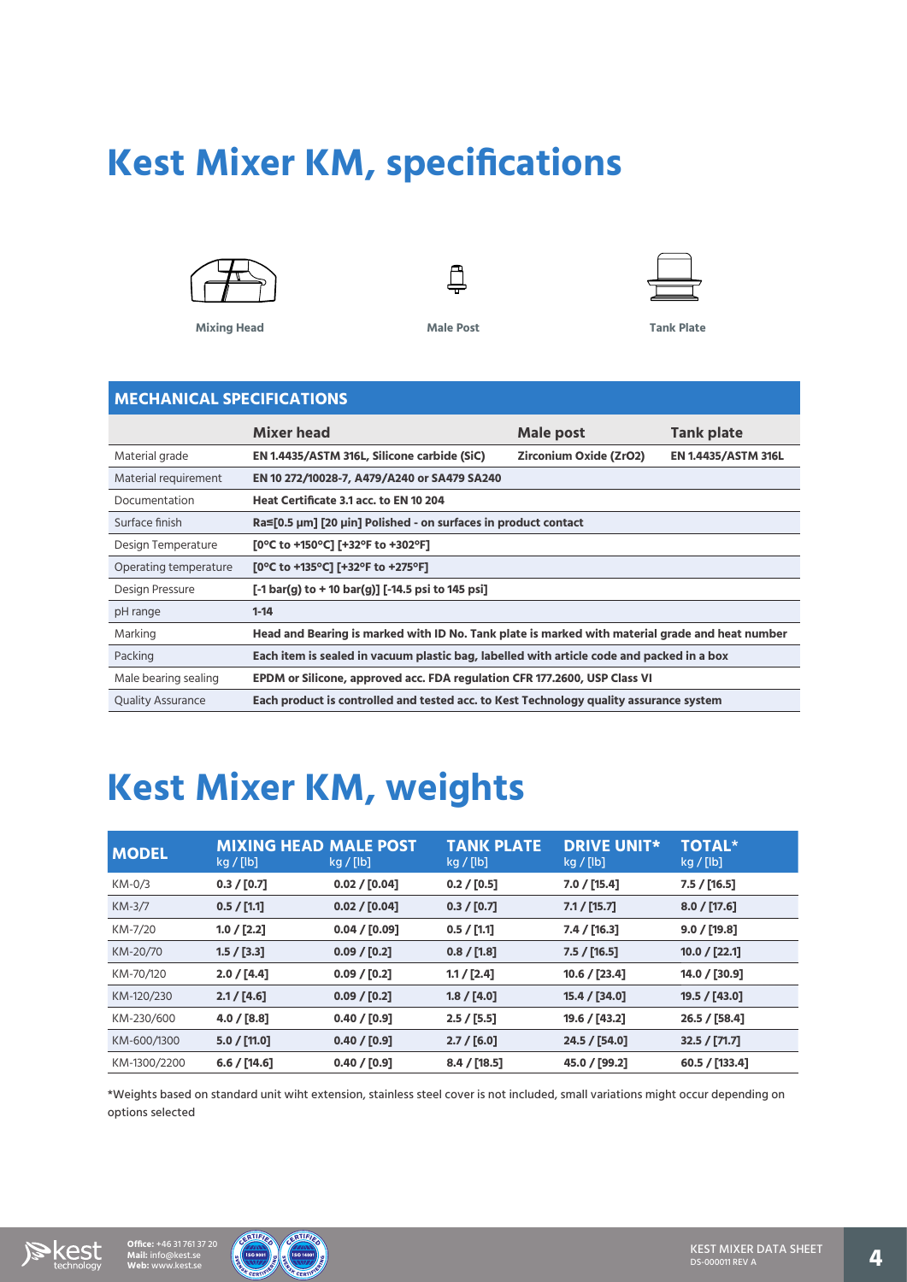# **Kest Mixer KM, specifications**



**Mixing Head Male Post Tank Plate**





### **MECHANICAL SPECIFICATIONS**

|                          | <b>Mixer head</b>                                                                               | Male post              | <b>Tank plate</b>          |
|--------------------------|-------------------------------------------------------------------------------------------------|------------------------|----------------------------|
| Material grade           | EN 1.4435/ASTM 316L, Silicone carbide (SiC)                                                     | Zirconium Oxide (ZrO2) | <b>EN 1.4435/ASTM 316L</b> |
| Material requirement     | EN 10 272/10028-7, A479/A240 or SA479 SA240                                                     |                        |                            |
| Documentation            | Heat Certificate 3.1 acc. to EN 10 204                                                          |                        |                            |
| Surface finish           | Ra≤[0.5 µm] [20 µin] Polished - on surfaces in product contact                                  |                        |                            |
| Design Temperature       | [0°C to +150°C] [+32°F to +302°F]                                                               |                        |                            |
| Operating temperature    | [0°C to +135°C] [+32°F to +275°F]                                                               |                        |                            |
| Design Pressure          | [-1 bar(g) to + 10 bar(g)] [-14.5 psi to 145 psi]                                               |                        |                            |
| pH range                 | $1 - 14$                                                                                        |                        |                            |
| Marking                  | Head and Bearing is marked with ID No. Tank plate is marked with material grade and heat number |                        |                            |
| Packing                  | Each item is sealed in vacuum plastic bag, labelled with article code and packed in a box       |                        |                            |
| Male bearing sealing     | EPDM or Silicone, approved acc. FDA regulation CFR 177.2600, USP Class VI                       |                        |                            |
| <b>Quality Assurance</b> | Each product is controlled and tested acc. to Kest Technology quality assurance system          |                        |                            |

### **Kest Mixer KM, weights**

| <b>MODEL</b> | <b>MIXING HEAD MALE POST</b><br>kg/[lb] | kg/[lb]       | <b>TANK PLATE</b><br>kg/[lb] | <b>DRIVE UNIT*</b><br>kg/[lb] | <b>TOTAL*</b><br>kg/[lb] |
|--------------|-----------------------------------------|---------------|------------------------------|-------------------------------|--------------------------|
| KM-0/3       | 0.3 / [0.7]                             | 0.02 / [0.04] | 0.2 / [0.5]                  | 7.0 / [15.4]                  | 7.5 / [16.5]             |
| $KM-3/7$     | 0.5 / [1.1]                             | 0.02 / [0.04] | 0.3 / [0.7]                  | 7.1 / [15.7]                  | 8.0 / [17.6]             |
| KM-7/20      | 1.0 / [2.2]                             | 0.04 / [0.09] | 0.5 / [1.1]                  | 7.4 / [16.3]                  | 9.0 / [19.8]             |
| KM-20/70     | 1.5 / [3.3]                             | 0.09 / [0.2]  | 0.8 / [1.8]                  | 7.5 / [16.5]                  | 10.0 / [22.1]            |
| KM-70/120    | 2.0 / [4.4]                             | 0.09 / [0.2]  | 1.1 / [2.4]                  | 10.6 / [23.4]                 | 14.0 / [30.9]            |
| KM-120/230   | 2.1 / [4.6]                             | 0.09 / [0.2]  | 1.8 / [4.0]                  | 15.4 / [34.0]                 | 19.5 / [43.0]            |
| KM-230/600   | 4.0 / [8.8]                             | 0.40 / [0.9]  | 2.5/[5.5]                    | 19.6 / [43.2]                 | 26.5 / [58.4]            |
| KM-600/1300  | 5.0 / [11.0]                            | 0.40 / [0.9]  | 2.7 / [6.0]                  | 24.5 / [54.0]                 | 32.5 / [71.7]            |
| KM-1300/2200 | 6.6 / [14.6]                            | 0.40 / [0.9]  | 8.4 / [18.5]                 | 45.0 / [99.2]                 | 60.5 / [133.4]           |

\*Weights based on standard unit wiht extension, stainless steel cover is not included, small variations might occur depending on options selected





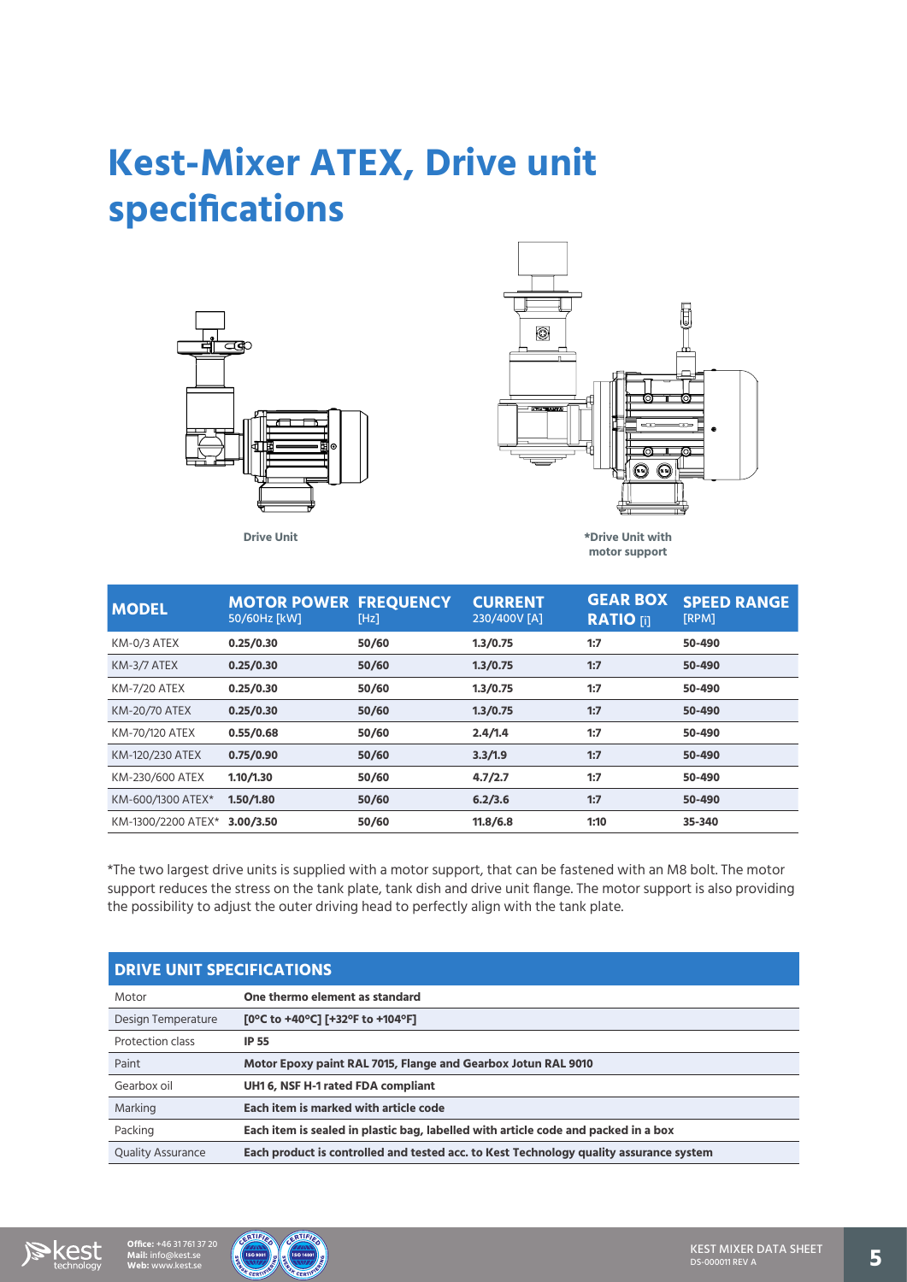### **Kest-Mixer ATEX, Drive unit specifications**





| <b>MODEL</b>         | <b>MOTOR POWER FREQUENCY</b><br>50/60Hz [kW] | [Hz]  | <b>CURRENT</b><br>230/400V [A] | <b>GEAR BOX</b><br><b>RATIO [i]</b> | <b>SPEED RANGE</b><br>[RPM] |
|----------------------|----------------------------------------------|-------|--------------------------------|-------------------------------------|-----------------------------|
| KM-0/3 ATEX          | 0.25/0.30                                    | 50/60 | 1.3/0.75                       | 1:7                                 | 50-490                      |
| KM-3/7 ATEX          | 0.25/0.30                                    | 50/60 | 1.3/0.75                       | 1:7                                 | 50-490                      |
| <b>KM-7/20 ATEX</b>  | 0.25/0.30                                    | 50/60 | 1.3/0.75                       | 1:7                                 | 50-490                      |
| <b>KM-20/70 ATEX</b> | 0.25/0.30                                    | 50/60 | 1.3/0.75                       | 1:7                                 | 50-490                      |
| KM-70/120 ATEX       | 0.55/0.68                                    | 50/60 | 2.4/1.4                        | 1:7                                 | 50-490                      |
| KM-120/230 ATEX      | 0.75/0.90                                    | 50/60 | 3.3/1.9                        | 1:7                                 | 50-490                      |
| KM-230/600 ATEX      | 1.10 / 1.30                                  | 50/60 | 4.7/2.7                        | 1:7                                 | 50-490                      |
| KM-600/1300 ATEX*    | 1.50/1.80                                    | 50/60 | 6.2/3.6                        | 1:7                                 | 50-490                      |
| KM-1300/2200 ATEX*   | 3.00/3.50                                    | 50/60 | 11.8/6.8                       | 1:10                                | 35-340                      |

\*The two largest drive units is supplied with a motor support, that can be fastened with an M8 bolt. The motor support reduces the stress on the tank plate, tank dish and drive unit flange. The motor support is also providing the possibility to adjust the outer driving head to perfectly align with the tank plate.

| <b>DRIVE UNIT SPECIFICATIONS</b> |                                                                                        |  |  |  |
|----------------------------------|----------------------------------------------------------------------------------------|--|--|--|
| Motor                            | One thermo element as standard                                                         |  |  |  |
| Design Temperature               | [0°C to +40°C] [+32°F to +104°F]                                                       |  |  |  |
| Protection class                 | <b>IP 55</b>                                                                           |  |  |  |
| Paint                            | Motor Epoxy paint RAL 7015, Flange and Gearbox Jotun RAL 9010                          |  |  |  |
| Gearbox oil                      | UH1 6, NSF H-1 rated FDA compliant                                                     |  |  |  |
| Marking                          | Each item is marked with article code                                                  |  |  |  |
| Packing                          | Each item is sealed in plastic bag, labelled with article code and packed in a box     |  |  |  |
| <b>Ouality Assurance</b>         | Each product is controlled and tested acc. to Kest Technology quality assurance system |  |  |  |





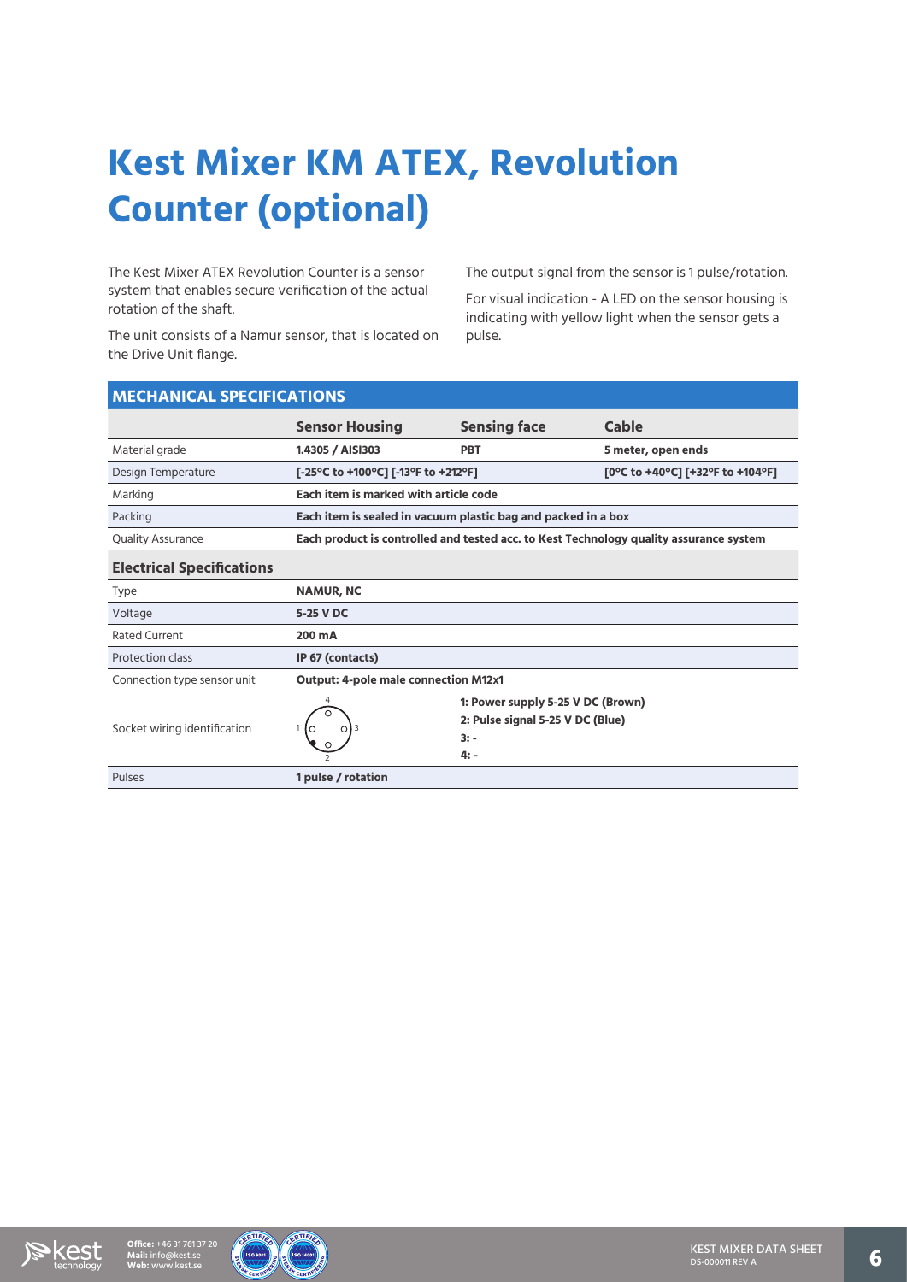# **Kest Mixer KM ATEX, Revolution Counter (optional)**

The Kest Mixer ATEX Revolution Counter is a sensor system that enables secure verification of the actual rotation of the shaft.

The unit consists of a Namur sensor, that is located on the Drive Unit flange.

The output signal from the sensor is 1 pulse/rotation.

For visual indication - A LED on the sensor housing is indicating with yellow light when the sensor gets a pulse.

| <b>MECHANICAL SPECIFICATIONS</b> |                                                                                        |                                                                                           |                                  |  |  |
|----------------------------------|----------------------------------------------------------------------------------------|-------------------------------------------------------------------------------------------|----------------------------------|--|--|
|                                  | <b>Sensor Housing</b>                                                                  | <b>Sensing face</b>                                                                       | <b>Cable</b>                     |  |  |
| Material grade                   | 1.4305 / AISI303                                                                       | <b>PBT</b>                                                                                | 5 meter, open ends               |  |  |
| Design Temperature               | [-25°C to +100°C] [-13°F to +212°F]                                                    |                                                                                           | [0°C to +40°C] [+32°F to +104°F] |  |  |
| Marking                          | Each item is marked with article code                                                  |                                                                                           |                                  |  |  |
| Packing                          | Each item is sealed in vacuum plastic bag and packed in a box                          |                                                                                           |                                  |  |  |
| <b>Quality Assurance</b>         | Each product is controlled and tested acc. to Kest Technology quality assurance system |                                                                                           |                                  |  |  |
| <b>Electrical Specifications</b> |                                                                                        |                                                                                           |                                  |  |  |
| Type                             | <b>NAMUR, NC</b>                                                                       |                                                                                           |                                  |  |  |
| Voltage                          | 5-25 V DC                                                                              |                                                                                           |                                  |  |  |
| <b>Rated Current</b>             | 200 mA                                                                                 |                                                                                           |                                  |  |  |
| Protection class                 | IP 67 (contacts)                                                                       |                                                                                           |                                  |  |  |
| Connection type sensor unit      | <b>Output: 4-pole male connection M12x1</b>                                            |                                                                                           |                                  |  |  |
| Socket wiring identification     |                                                                                        | 1: Power supply 5-25 V DC (Brown)<br>2: Pulse signal 5-25 V DC (Blue)<br>$3: -$<br>$4: -$ |                                  |  |  |
| Pulses                           | 1 pulse / rotation                                                                     |                                                                                           |                                  |  |  |



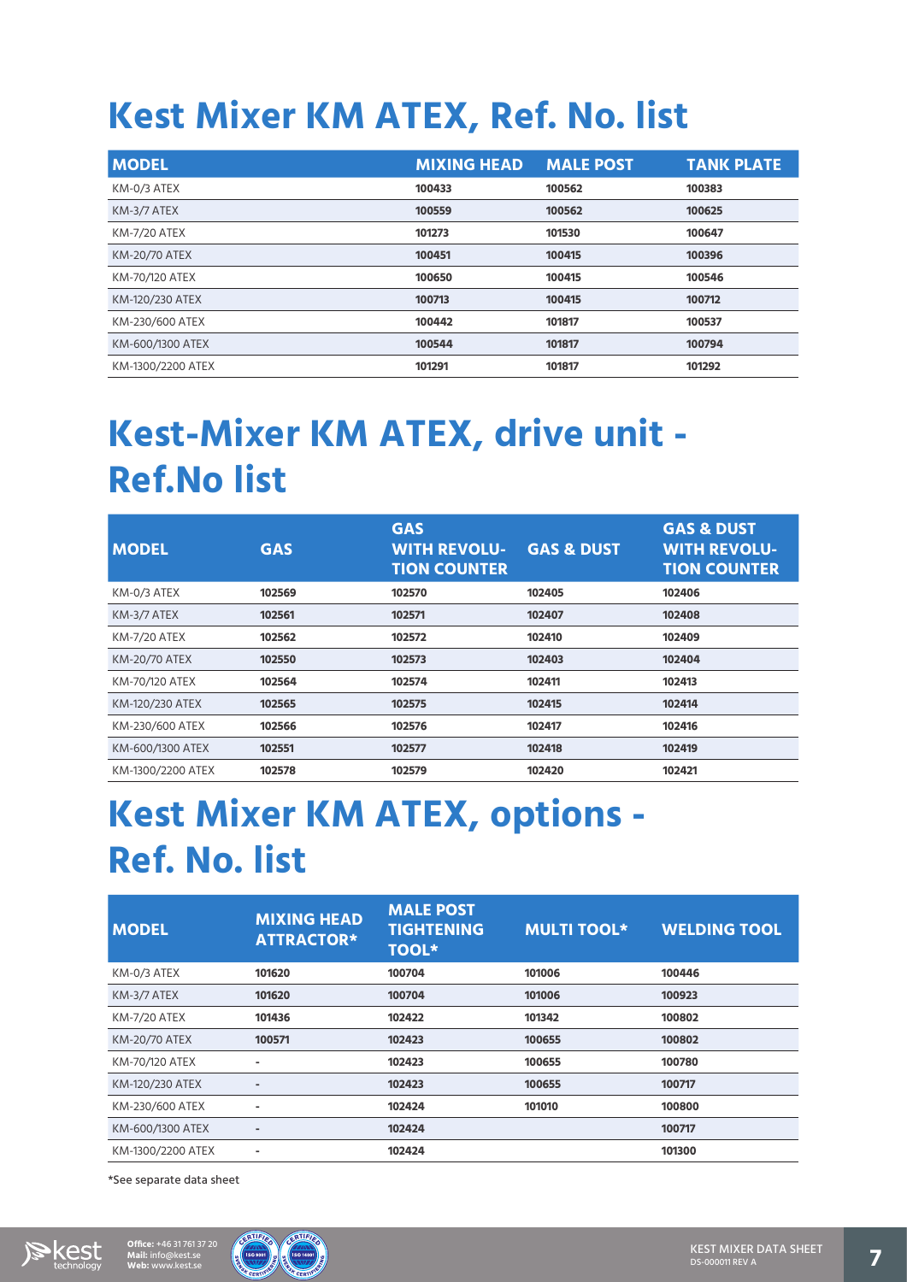### **Kest Mixer KM ATEX, Ref. No. list**

| <b>MODEL</b>         | <b>MIXING HEAD</b> | <b>MALE POST</b> | <b>TANK PLATE</b> |
|----------------------|--------------------|------------------|-------------------|
| KM-0/3 ATEX          | 100433             | 100562           | 100383            |
| KM-3/7 ATEX          | 100559             | 100562           | 100625            |
| <b>KM-7/20 ATEX</b>  | 101273             | 101530           | 100647            |
| <b>KM-20/70 ATEX</b> | 100451             | 100415           | 100396            |
| KM-70/120 ATEX       | 100650             | 100415           | 100546            |
| KM-120/230 ATEX      | 100713             | 100415           | 100712            |
| KM-230/600 ATEX      | 100442             | 101817           | 100537            |
| KM-600/1300 ATEX     | 100544             | 101817           | 100794            |
| KM-1300/2200 ATEX    | 101291             | 101817           | 101292            |

### **Kest-Mixer KM ATEX, drive unit - Ref.No list**

| <b>MODEL</b>        | <b>GAS</b> | <b>GAS</b><br><b>WITH REVOLU-</b><br><b>TION COUNTER</b> | <b>GAS &amp; DUST</b> | <b>GAS &amp; DUST</b><br><b>WITH REVOLU-</b><br><b>TION COUNTER</b> |
|---------------------|------------|----------------------------------------------------------|-----------------------|---------------------------------------------------------------------|
| KM-0/3 ATEX         | 102569     | 102570                                                   | 102405                | 102406                                                              |
| KM-3/7 ATEX         | 102561     | 102571                                                   | 102407                | 102408                                                              |
| <b>KM-7/20 ATEX</b> | 102562     | 102572                                                   | 102410                | 102409                                                              |
| KM-20/70 ATEX       | 102550     | 102573                                                   | 102403                | 102404                                                              |
| KM-70/120 ATEX      | 102564     | 102574                                                   | 102411                | 102413                                                              |
| KM-120/230 ATEX     | 102565     | 102575                                                   | 102415                | 102414                                                              |
| KM-230/600 ATEX     | 102566     | 102576                                                   | 102417                | 102416                                                              |
| KM-600/1300 ATEX    | 102551     | 102577                                                   | 102418                | 102419                                                              |
| KM-1300/2200 ATEX   | 102578     | 102579                                                   | 102420                | 102421                                                              |

### **Kest Mixer KM ATEX, options - Ref. No. list**

| <b>MODEL</b>         | <b>MIXING HEAD</b><br><b>ATTRACTOR*</b> | <b>MALE POST</b><br><b>TIGHTENING</b><br><b>TOOL*</b> | <b>MULTI TOOL*</b> | <b>WELDING TOOL</b> |
|----------------------|-----------------------------------------|-------------------------------------------------------|--------------------|---------------------|
| KM-0/3 ATEX          | 101620                                  | 100704                                                | 101006             | 100446              |
| KM-3/7 ATEX          | 101620                                  | 100704                                                | 101006             | 100923              |
| <b>KM-7/20 ATEX</b>  | 101436                                  | 102422                                                | 101342             | 100802              |
| <b>KM-20/70 ATEX</b> | 100571                                  | 102423                                                | 100655             | 100802              |
| KM-70/120 ATEX       | ۰                                       | 102423                                                | 100655             | 100780              |
| KM-120/230 ATEX      | $\blacksquare$                          | 102423                                                | 100655             | 100717              |
| KM-230/600 ATEX      | ۰                                       | 102424                                                | 101010             | 100800              |
| KM-600/1300 ATEX     | ٠                                       | 102424                                                |                    | 100717              |
| KM-1300/2200 ATEX    | ۰                                       | 102424                                                |                    | 101300              |

\*See separate data sheet

**Mail:** info@kest.se

**Office:** +46 31 761 37 20